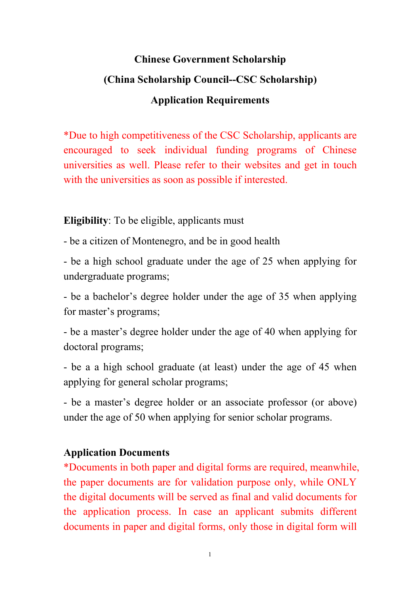## **Chinese Government Scholarship (China Scholarship Council--CSC Scholarship) Application Requirements**

\*Due to high competitiveness of the CSC Scholarship, applicants are encouraged to seek individual funding programs of Chinese universities as well. Please refer to their websites and get in touch with the universities as soon as possible if interested.

**Eligibility**: To be eligible, applicants must

- be a citizen of Montenegro, and be in good health

- be a high school graduate under the age of 25 when applying for undergraduate programs;

- be a bachelor's degree holder under the age of 35 when applying for master's programs;

- be a master's degree holder under the age of 40 when applying for doctoral programs;

- be a a high school graduate (at least) under the age of 45 when applying for general scholar programs;

- be a master's degree holder or an associate professor (or above) under the age of 50 when applying for senior scholar programs.

## **Application Documents**

\*Documents in both paper and digital forms are required, meanwhile, the paper documents are for validation purpose only, while ONLY the digital documents will be served as final and valid documents for the application process. In case an applicant submits different documents in paper and digital forms, only those in digital form will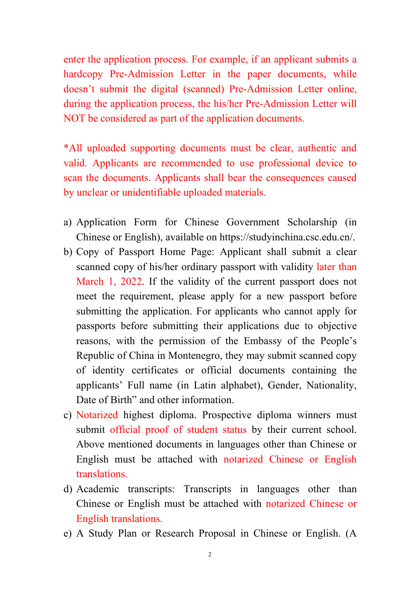enter the application process. For example, if an applicant submits a hardcopy Pre-Admission Letter in the paper documents, while doesn't submit the digital (scanned) Pre-Admission Letter online, during the application process, the his/her Pre-Admission Letter will NOT be considered as part of the application documents.

\*All uploaded supporting documents must be clear, authentic and valid. Applicants are recommended to use professional device to scan the documents. Applicants shall bear the consequences caused by unclear or unidentifiable uploaded materials.

- a) Application Form for Chinese Government Scholarship (in Chinese or English), available on https://studyinchina.csc.edu.cn/.
- b) Copy of Passport Home Page: Applicant shall submit a clear scanned copy of his/her ordinary passport with validity later than March 1, 2022. If the validity of the current passport does not meet the requirement, please apply for a new passport before submitting the application. For applicants who cannot apply for passports before submitting their applications due to objective reasons, with the permission of the Embassy of the People's Republic of China in Montenegro, they may submit scanned copy of identity certificates or official documents containing the applicants' Full name (in Latin alphabet), Gender, Nationality, Date of Birth" and other information.
- c) Notarized highest diploma. Prospective diploma winners must submit official proof of student status by their current school. Above mentioned documents in languages other than Chinese or English must be attached with notarized Chinese or English translations.
- d) Academic transcripts: Transcripts in languages other than Chinese or English must be attached with notarized Chinese or English translations.
- e) A Study Plan or Research Proposal in Chinese or English. (A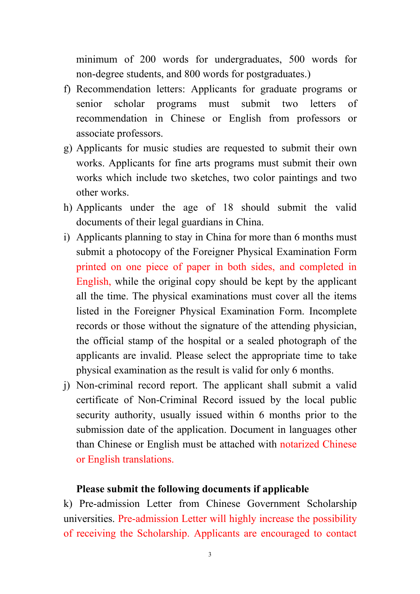minimum of 200 words for undergraduates, 500 words for non-degree students, and 800 words for postgraduates.)

- f) Recommendation letters: Applicants for graduate programs or senior scholar programs must submit two letters of recommendation in Chinese or English from professors or associate professors.
- g) Applicants for music studies are requested to submit their own works. Applicants for fine arts programs must submit their own works which include two sketches, two color paintings and two other works.
- h) Applicants under the age of 18 should submit the valid documents of their legal guardians in China.
- i) Applicants planning to stay in China for more than 6 months must submit a photocopy of the Foreigner Physical Examination Form printed on one piece of paper in both sides, and completed in English, while the original copy should be kept by the applicant all the time. The physical examinations must cover all the items listed in the Foreigner Physical Examination Form. Incomplete records or those without the signature of the attending physician, the official stamp of the hospital or a sealed photograph of the applicants are invalid. Please select the appropriate time to take physical examination as the result is valid for only 6 months.
- j) Non-criminal record report. The applicant shall submit a valid certificate of Non-Criminal Record issued by the local public security authority, usually issued within 6 months prior to the submission date of the application. Document in languages other than Chinese or English must be attached with notarized Chinese or English translations.

## **Please submit the following documents if applicable**

k) Pre-admission Letter from Chinese Government Scholarship universities. Pre-admission Letter will highly increase the possibility of receiving the Scholarship. Applicants are encouraged to contact